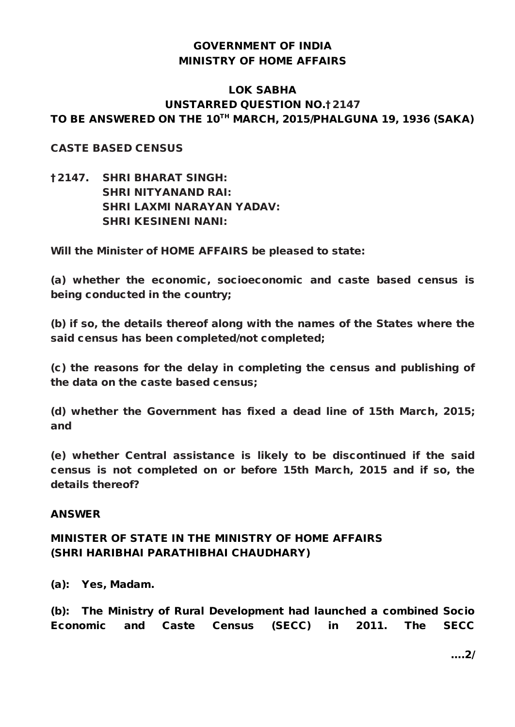## GOVERNMENT OF INDIA MINISTRY OF HOME AFFAIRS

### LOK SABHA UNSTARRED QUESTION NO.†2147 TO BE ANSWERED ON THE 10TH MARCH, 2015/PHALGUNA 19, 1936 (SAKA)

#### CASTE BASED CENSUS

†2147. SHRI BHARAT SINGH: SHRI NITYANAND RAI: SHRI LAXMI NARAYAN YADAV: SHRI KESINENI NANI:

Will the Minister of HOME AFFAIRS be pleased to state:

(a) whether the economic, socioeconomic and caste based census is being conducted in the country;

(b) if so, the details thereof along with the names of the States where the said census has been completed/not completed;

(c) the reasons for the delay in completing the census and publishing of the data on the caste based census;

(d) whether the Government has fixed a dead line of 15th March, 2015; and

(e) whether Central assistance is likely to be discontinued if the said census is not completed on or before 15th March, 2015 and if so, the details thereof?

#### ANSWER

## MINISTER OF STATE IN THE MINISTRY OF HOME AFFAIRS (SHRI HARIBHAI PARATHIBHAI CHAUDHARY)

(a): Yes, Madam.

(b): The Ministry of Rural Development had launched a combined Socio Economic and Caste Census (SECC) in 2011. The SECC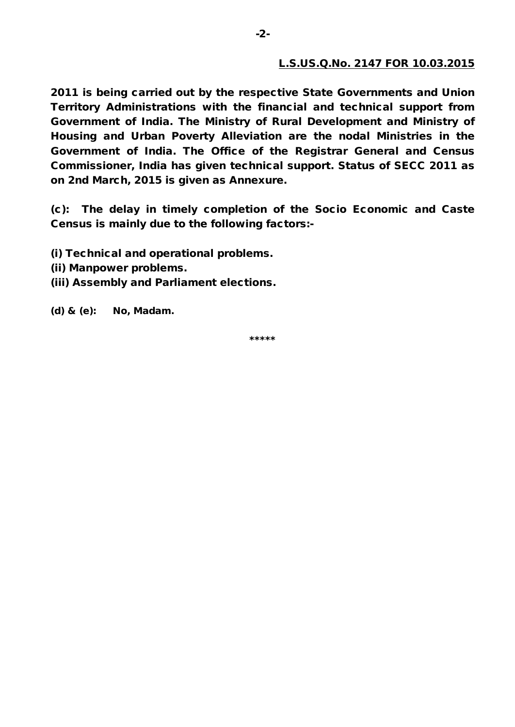#### L.S.US.Q.No. 2147 FOR 10.03.2015

2011 is being carried out by the respective State Governments and Union Territory Administrations with the financial and technical support from Government of India. The Ministry of Rural Development and Ministry of Housing and Urban Poverty Alleviation are the nodal Ministries in the Government of India. The Office of the Registrar General and Census Commissioner, India has given technical support. Status of SECC 2011 as on 2nd March, 2015 is given as Annexure.

(c): The delay in timely completion of the Socio Economic and Caste Census is mainly due to the following factors:-

- (i) Technical and operational problems.
- (ii) Manpower problems.
- (iii) Assembly and Parliament elections.

(d) & (e): No, Madam.

\*\*\*\*\*